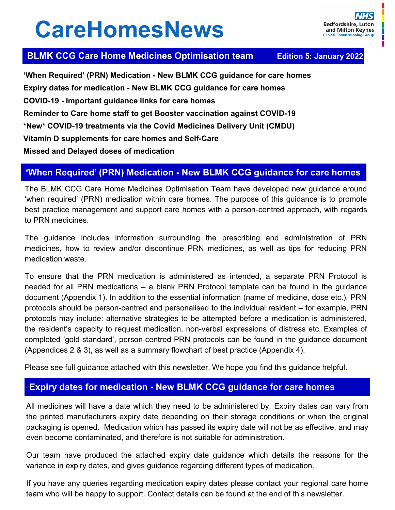# **CareHomesNews**

## **BLMK CCG Care Home Medicines Optimisation team Edition 5: January 2022**

**'When Required' (PRN) Medication - New BLMK CCG guidance for care homes Expiry dates for medication - New BLMK CCG guidance for care homes COVID-19 - Important guidance links for care homes Reminder to Care home staff to get Booster vaccination against COVID-19 \*New\* COVID-19 treatments via the Covid Medicines Delivery Unit (CMDU) Vitamin D supplements for care homes and Self-Care Missed and Delayed doses of medication**

## **'When Required' (PRN) Medication - New BLMK CCG guidance for care homes**

The BLMK CCG Care Home Medicines Optimisation Team have developed new guidance around 'when required' (PRN) medication within care homes. The purpose of this guidance is to promote best practice management and support care homes with a person-centred approach, with regards to PRN medicines.

The guidance includes information surrounding the prescribing and administration of PRN medicines, how to review and/or discontinue PRN medicines, as well as tips for reducing PRN medication waste.

To ensure that the PRN medication is administered as intended, a separate PRN Protocol is needed for all PRN medications – a blank PRN Protocol template can be found in the guidance document (Appendix 1). In addition to the essential information (name of medicine, dose etc.), PRN protocols should be person-centred and personalised to the individual resident – for example, PRN protocols may include: alternative strategies to be attempted before a medication is administered, the resident's capacity to request medication, non-verbal expressions of distress etc. Examples of completed 'gold-standard', person-centred PRN protocols can be found in the guidance document (Appendices 2 & 3), as well as a summary flowchart of best practice (Appendix 4).

Please see full guidance attached with this newsletter. We hope you find this guidance helpful.

## **Expiry dates for medication - New BLMK CCG guidance for care homes**

All medicines will have a date which they need to be administered by. Expiry dates can vary from the printed manufacturers expiry date depending on their storage conditions or when the original packaging is opened. Medication which has passed its expiry date will not be as effective, and may even become contaminated, and therefore is not suitable for administration.

Our team have produced the attached expiry date guidance which details the reasons for the variance in expiry dates, and gives guidance regarding different types of medication.

If you have any queries regarding medication expiry dates please contact your regional care home team who will be happy to support. Contact details can be found at the end of this newsletter.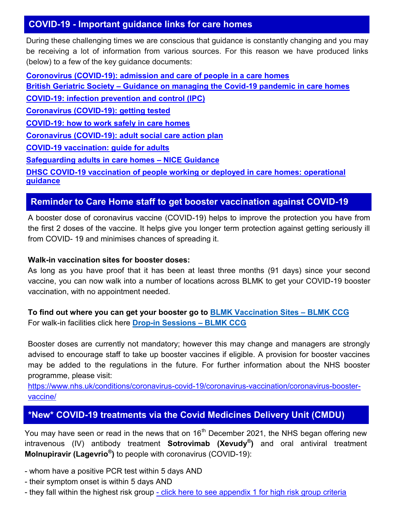## **COVID-19 - Important guidance links for care homes**

During these challenging times we are conscious that guidance is constantly changing and you may be receiving a lot of information from various sources. For this reason we have produced links (below) to a few of the key guidance documents:

**Coronovirus (COVID-[19\): admission and care of people in a care homes](https://www.gov.uk/government/publications/coronavirus-covid-19-admission-and-care-of-people-in-care-homes) British Geriatric Society – [Guidance on managing the Covid](https://www.bgs.org.uk/resources/covid-19-managing-the-covid-19-pandemic-in-care-homes)-19 pandemic in care homes COVID-[19: infection prevention and control \(IPC\)](https://www.gov.uk/government/publications/wuhan-novel-coronavirus-infection-prevention-and-control) [Coronavirus \(COVID](https://www.gov.uk/guidance/coronavirus-covid-19-getting-tested)-19): getting tested COVID-[19: how to work safely in care homes](https://www.gov.uk/government/publications/covid-19-how-to-work-safely-in-care-homes) Coronavirus (COVID-[19\): adult social care action plan](https://www.gov.uk/government/publications/coronavirus-covid-19-adult-social-care-action-plan) COVID-[19 vaccination: guide for adults](https://www.gov.uk/government/publications/covid-19-vaccination-guide-for-older-adults) [Safeguarding adults in care homes –](https://www.nice.org.uk/guidance/ng189) NICE Guidance DHSC COVID-[19 vaccination of people working or deployed in care homes: operational](https://www.gov.uk/government/publications/vaccination-of-people-working-or-deployed-in-care-homes-operational-guidance/coronavirus-covid-19-vaccination-of-people-working-or-deployed-in-care-homes-operational-guidance)  [guidance](https://www.gov.uk/government/publications/vaccination-of-people-working-or-deployed-in-care-homes-operational-guidance/coronavirus-covid-19-vaccination-of-people-working-or-deployed-in-care-homes-operational-guidance)**

## **Reminder to Care Home staff to get booster vaccination against COVID-19**

A booster dose of coronavirus vaccine (COVID-19) helps to improve the protection you have from the first 2 doses of the vaccine. It helps give you longer term protection against getting seriously ill from COVID- 19 and minimises chances of spreading it.

#### **Walk-in vaccination sites for booster doses:**

As long as you have proof that it has been at least three months (91 days) since your second vaccine, you can now walk into a number of locations across BLMK to get your COVID-19 booster vaccination, with no appointment needed.

**To find out where you can get your booster go to [BLMK Vaccination Sites –](https://www.blmkccg.nhs.uk/covid-19/blmk-vaccination-sites/) BLMK CCG** For walk-in facilities click here **Drop-[in Sessions –](https://www.blmkccg.nhs.uk/covid-19/drop-in-covid-19-vaccination-sessions-available/) BLMK CCG**

Booster doses are currently not mandatory; however this may change and managers are strongly advised to encourage staff to take up booster vaccines if eligible. A provision for booster vaccines may be added to the regulations in the future. For further information about the NHS booster programme, please visit:

[https://www.nhs.uk/conditions/coronavirus](https://www.nhs.uk/conditions/coronavirus-covid-19/coronavirus-vaccination/coronavirus-booster-vaccine/)-covid-19/coronavirus-vaccination/coronavirus-booster[vaccine/](https://www.nhs.uk/conditions/coronavirus-covid-19/coronavirus-vaccination/coronavirus-booster-vaccine/)

## **\*New\* COVID-19 treatments via the Covid Medicines Delivery Unit (CMDU)**

You may have seen or read in the news that on 16<sup>th</sup> December 2021, the NHS began offering new intravenous (IV) antibody treatment **Sotrovimab (Xevudy® )** and oral antiviral treatment **Molnupiravir (Lagevrio® )** to people with coronavirus (COVID-19):

- whom have a positive PCR test within 5 days AND
- their symptom onset is within 5 days AND
- they fall within the highest risk group [click here to see appendix 1 for high risk group criteria](https://www.england.nhs.uk/coronavirus/wp-content/uploads/sites/52/2021/09/C1529-interim-clinical-comm-policy-neutralising-monoclonal-antibodies-and-intravenous-antivirals.pdf)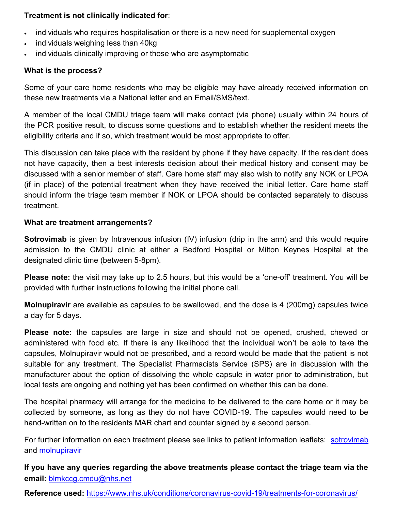#### **Treatment is not clinically indicated for**:

- individuals who requires hospitalisation or there is a new need for supplemental oxygen
- individuals weighing less than 40kg
- individuals clinically improving or those who are asymptomatic

#### **What is the process?**

Some of your care home residents who may be eligible may have already received information on these new treatments via a National letter and an Email/SMS/text.

A member of the local CMDU triage team will make contact (via phone) usually within 24 hours of the PCR positive result, to discuss some questions and to establish whether the resident meets the eligibility criteria and if so, which treatment would be most appropriate to offer.

This discussion can take place with the resident by phone if they have capacity. If the resident does not have capacity, then a best interests decision about their medical history and consent may be discussed with a senior member of staff. Care home staff may also wish to notify any NOK or LPOA (if in place) of the potential treatment when they have received the initial letter. Care home staff should inform the triage team member if NOK or LPOA should be contacted separately to discuss treatment.

#### **What are treatment arrangements?**

**Sotrovimab** is given by Intravenous infusion (IV) infusion (drip in the arm) and this would require admission to the CMDU clinic at either a Bedford Hospital or Milton Keynes Hospital at the designated clinic time (between 5-8pm).

**Please note:** the visit may take up to 2.5 hours, but this would be a 'one-off' treatment. You will be provided with further instructions following the initial phone call.

**Molnupiravir** are available as capsules to be swallowed, and the dose is 4 (200mg) capsules twice a day for 5 days.

**Please note:** the capsules are large in size and should not be opened, crushed, chewed or administered with food etc. If there is any likelihood that the individual won't be able to take the capsules, Molnupiravir would not be prescribed, and a record would be made that the patient is not suitable for any treatment. The Specialist Pharmacists Service (SPS) are in discussion with the manufacturer about the option of dissolving the whole capsule in water prior to administration, but local tests are ongoing and nothing yet has been confirmed on whether this can be done.

The hospital pharmacy will arrange for the medicine to be delivered to the care home or it may be collected by someone, as long as they do not have COVID-19. The capsules would need to be hand-written on to the residents MAR chart and counter signed by a second person.

For further information on each treatment please see links to patient information leaflets: [sotrovimab](https://www.gov.uk/government/publications/regulatory-approval-of-xevudy-sotrovimab/patient-information-leaflet-for-xevudy) and [molnupiravir](https://www.gov.uk/government/publications/regulatory-approval-of-lagevrio-molnupiravir/patient-information-leaflet-for-lagevrio)

**If you have any queries regarding the above treatments please contact the triage team via the email:** [blmkccg.cmdu@nhs.net](mailto:blmkccg.cmdu@nhs.net)

**Reference used:** [https://www.nhs.uk/conditions/coronavirus](https://www.nhs.uk/conditions/coronavirus-covid-19/treatments-for-coronavirus/)-covid-19/treatments-for-coronavirus/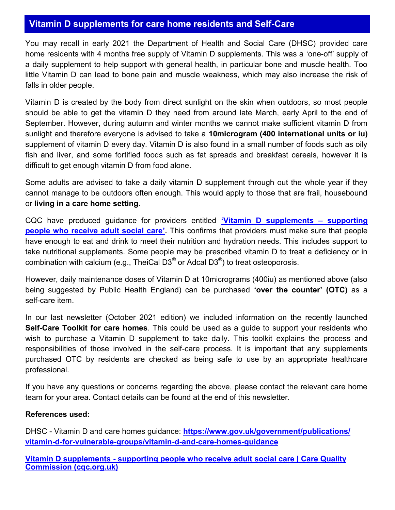### **Vitamin D supplements for care home residents and Self-Care**

You may recall in early 2021 the Department of Health and Social Care (DHSC) provided care home residents with 4 months free supply of Vitamin D supplements. This was a 'one-off' supply of a daily supplement to help support with general health, in particular bone and muscle health. Too little Vitamin D can lead to bone pain and muscle weakness, which may also increase the risk of falls in older people.

Vitamin D is created by the body from direct sunlight on the skin when outdoors, so most people should be able to get the vitamin D they need from around late March, early April to the end of September. However, during autumn and winter months we cannot make sufficient vitamin D from sunlight and therefore everyone is advised to take a **10microgram (400 international units or iu)** supplement of vitamin D every day. Vitamin D is also found in a small number of foods such as oily fish and liver, and some fortified foods such as fat spreads and breakfast cereals, however it is difficult to get enough vitamin D from food alone.

Some adults are advised to take a daily vitamin D supplement through out the whole year if they cannot manage to be outdoors often enough. This would apply to those that are frail, housebound or **living in a care home setting**.

CQC have produced guidance for providers entitled **'[Vitamin D supplements –](https://www.cqc.org.uk/guidance-providers/adult-social-care/vitamin-d-supplements-supporting-people-who-receive-adult) supporting [people who receive adult social care](https://www.cqc.org.uk/guidance-providers/adult-social-care/vitamin-d-supplements-supporting-people-who-receive-adult)'.** This confirms that providers must make sure that people have enough to eat and drink to meet their nutrition and hydration needs. This includes support to take nutritional supplements. Some people may be prescribed vitamin D to treat a deficiency or in combination with calcium (e.g., TheiCal D3 $^\circ$  or Adcal D3 $^\circ$ ) to treat osteoporosis.

However, daily maintenance doses of Vitamin D at 10micrograms (400iu) as mentioned above (also being suggested by Public Health England) can be purchased **'over the counter' (OTC)** as a self-care item.

In our last newsletter (October 2021 edition) we included information on the recently launched **Self-Care Toolkit for care homes**. This could be used as a guide to support your residents who wish to purchase a Vitamin D supplement to take daily. This toolkit explains the process and responsibilities of those involved in the self-care process. It is important that any supplements purchased OTC by residents are checked as being safe to use by an appropriate healthcare professional.

If you have any questions or concerns regarding the above, please contact the relevant care home team for your area. Contact details can be found at the end of this newsletter.

#### **References used:**

DHSC - Vitamin D and care homes guidance: **[https://www.gov.uk/government/publications/](https://www.gov.uk/government/publications/vitamin-d-for-vulnerable-groups/vitamin-d-and-care-homes-guidance) vitamin-d-for-vulnerable-[groups/vitamin](https://www.gov.uk/government/publications/vitamin-d-for-vulnerable-groups/vitamin-d-and-care-homes-guidance)-d-and-care-homes-guidance**

**Vitamin D supplements - [supporting people who receive adult social care | Care Quality](https://www.cqc.org.uk/guidance-providers/adult-social-care/vitamin-d-supplements-supporting-people-who-receive-adult)  [Commission \(cqc.org.uk\)](https://www.cqc.org.uk/guidance-providers/adult-social-care/vitamin-d-supplements-supporting-people-who-receive-adult)**